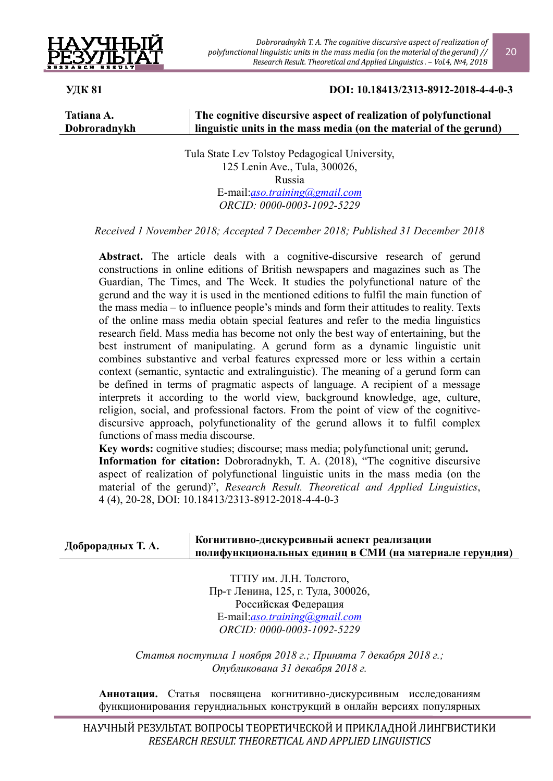

*Dobroradnykh Т. А. The cognitive discursive aspect of realization of polyfunctional linguistic units in the mass media (on the material of the gerund) // Research Result. Theoretical and Applied Linguistics. – Vol.4, №4, 2018*

## **УДК 81 DOI: 10.18413/2313-8912-2018-4-4-0-3**

**Tatiana A. Dobroradnykh** 

### **The cognitive discursive aspect of realization of polyfunctional linguistic units in the mass media (on the material of the gerund)**

Tula State Lev Tolstoy Pedagogical University, 125 Lenin Ave., Tula, 300026, Russia E-mail:*aso.training@gmail.com ORCID: 0000-0003-1092-5229* 

*Received 1 November 2018; Accepted 7 December 2018; Published 31 December 2018*

Abstract. The article deals with a cognitive-discursive research of gerund constructions in online editions of British newspapers and magazines such as The Guardian, The Times, and The Week. It studies the polyfunctional nature of the gerund and the way it is used in the mentioned editions to fulfil the main function of the mass media – to influence people's minds and form their attitudes to reality. Texts of the online mass media obtain special features and refer to the media linguistics research field. Mass media has become not only the best way of entertaining, but the best instrument of manipulating. A gerund form as a dynamic linguistic unit combines substantive and verbal features expressed more or less within a certain context (semantic, syntactic and extralinguistic). The meaning of a gerund form can be defined in terms of pragmatic aspects of language. A recipient of a message interprets it according to the world view, background knowledge, age, culture, religion, social, and professional factors. From the point of view of the cognitivediscursive approach, polyfunctionality of the gerund allows it to fulfil complex functions of mass media discourse.

**Key words:** cognitive studies; discourse; mass media; polyfunctional unit; gerund**. Information for citation:** Dobroradnykh, T. A. (2018), "The cognitive discursive aspect of realization of polyfunctional linguistic units in the mass media (on the material of the gerund)", *Research Result. Theoretical and Applied Linguistics*, 4 (4), 20-28, DOI: 10.18413/2313-8912-2018-4-4-0-3

| Доброрадных Т. А. | Когнитивно-дискурсивный аспект реализации               |
|-------------------|---------------------------------------------------------|
|                   | полифункциональных единиц в СМИ (на материале герундия) |

ТГПУ им. Л.Н. Толстого, Пр-т Ленина, 125, г. Тула, 300026, Российская Федерация E-mail:*aso.training@gmail.com ORCID: 0000-0003-1092-5229* 

*Статья поступила 1 ноября 2018 г.; Принята 7 декабря 2018 г.; Опубликована 31 декабря 2018 г.*

**Аннотация.** Статья посвящена когнитивно-дискурсивным исследованиям функционирования герундиальных конструкций в онлайн версиях популярных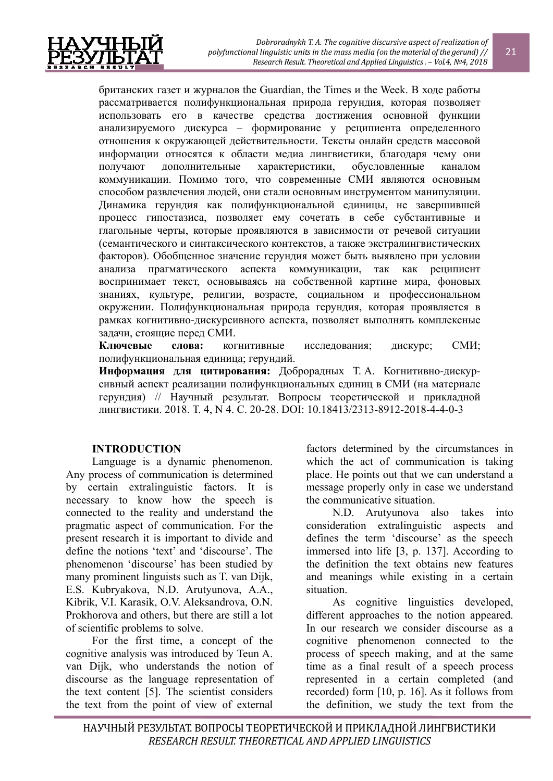

британских газет и журналов the Guardian, the Times и the Week. В ходе работы рассматривается полифункциональная природа герундия, которая позволяет использовать его в качестве средства достижения основной функции анализируемого дискурса – формирование у реципиента определенного отношения к окружающей действительности. Тексты онлайн средств массовой информации относятся к области медиа лингвистики, благодаря чему они получают дополнительные характеристики, обусловленные каналом коммуникации. Помимо того, что современные СМИ являются основным способом развлечения людей, они стали основным инструментом манипуляции. Динамика герундия как полифункциональной единицы, не завершившей процесс гипостазиса, позволяет ему сочетать в себе субстантивные и глагольные черты, которые проявляются в зависимости от речевой ситуации (семантического и синтаксического контекстов, а также экстралингвистических факторов). Обобщенное значение герундия может быть выявлено при условии анализа прагматического аспекта коммуникации, так как реципиент воспринимает текст, основываясь на собственной картине мира, фоновых знаниях, культуре, религии, возрасте, социальном и профессиональном окружении. Полифункциональная природа герундия, которая проявляется в рамках когнитивно-дискурсивного аспекта, позволяет выполнять комплексные задачи, стоящие перед СМИ.

**Ключевые слова:** когнитивные исследования; дискурс; СМИ; полифункциональная единица; герундий.

**Информация для цитирования:** Доброрадных Т. А. Когнитивно-дискурсивный аспект реализации полифункциональных единиц в СМИ (на материале герундия) // Научный результат. Вопросы теоретической и прикладной лингвистики. 2018. Т. 4, N 4. С. 20-28. DOI: 10.18413/2313-8912-2018-4-4-0-3

## **INTRODUCTION**

Language is a dynamic phenomenon. Any process of communication is determined by certain extralinguistic factors. It is necessary to know how the speech is connected to the reality and understand the pragmatic aspect of communication. For the present research it is important to divide and define the notions 'text' and 'discourse'. The phenomenon 'discourse' has been studied by many prominent linguists such as T. van Dijk, E.S. Kubryakova, N.D. Arutyunova, A.A., Kibrik, V.I. Karasik, O.V. Aleksandrova, O.N. Prokhorova and others, but there are still a lot of scientific problems to solve.

For the first time, a concept of the cognitive analysis was introduced by Teun A. van Dijk, who understands the notion of discourse as the language representation of the text content [5]. The scientist considers the text from the point of view of external

factors determined by the circumstances in which the act of communication is taking place. He points out that we can understand a message properly only in case we understand the communicative situation.

N.D. Arutyunova also takes into consideration extralinguistic aspects and defines the term 'discourse' as the speech immersed into life [3, p. 137]. According to the definition the text obtains new features and meanings while existing in a certain situation.

As cognitive linguistics developed, different approaches to the notion appeared. In our research we consider discourse as a cognitive phenomenon connected to the process of speech making, and at the same time as a final result of a speech process represented in a certain completed (and recorded) form [10, p. 16]. As it follows from the definition, we study the text from the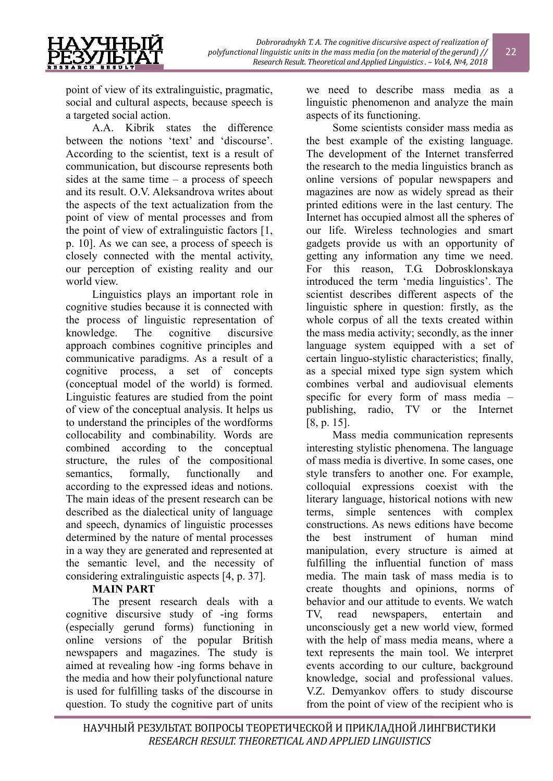point of view of its extralinguistic, pragmatic, social and cultural aspects, because speech is a targeted social action.

A.A. Kibrik states the difference between the notions 'text' and 'discourse'. According to the scientist, text is a result of communication, but discourse represents both sides at the same time – a process of speech and its result. O.V. Aleksandrova writes about. the aspects of the text actualization from the point of view of mental processes and from the point of view of extralinguistic factors [1, p. 10]. As we can see, a process of speech is closely connected with the mental activity, our perception of existing reality and our world view.

Linguistics plays an important role in cognitive studies because it is connected with the process of linguistic representation of knowledge. The cognitive discursive approach combines cognitive principles and communicative paradigms. As a result of a cognitive process, a set of concepts (conceptual model of the world) is formed. Linguistic features are studied from the point of view of the conceptual analysis. It helps us to understand the principles of the wordforms collocability and combinability. Words are combined according to the conceptual structure, the rules of the compositional semantics, formally, functionally and according to the expressed ideas and notions. The main ideas of the present research can be described as the dialectical unity of language and speech, dynamics of linguistic processes determined by the nature of mental processes in a way they are generated and represented at the semantic level, and the necessity of considering extralinguistic aspects [4, p. 37].

## **MAIN PART**

The present research deals with a cognitive discursive study of -ing forms (especially gerund forms) functioning in online versions of the popular British newspapers and magazines. The study is aimed at revealing how -ing forms behave in the media and how their polyfunctional nature is used for fulfilling tasks of the discourse in question. To study the cognitive part of units we need to describe mass media as a linguistic phenomenon and analyze the main aspects of its functioning.

Some scientists consider mass media as the best example of the existing language. The development of the Internet transferred the research to the media linguistics branch as online versions of popular newspapers and magazines are now as widely spread as their printed editions were in the last century. The Internet has occupied almost all the spheres of our life. Wireless technologies and smart gadgets provide us with an opportunity of getting any information any time we need. For this reason, T.G. Dobrosklonskaya introduced the term 'media linguistics'. The scientist describes different aspects of the linguistic sphere in question: firstly, as the whole corpus of all the texts created within the mass media activity; secondly, as the inner language system equipped with a set of certain linguo-stylistic characteristics; finally, as a special mixed type sign system which combines verbal and audiovisual elements specific for every form of mass media – publishing, radio, TV or the Internet [8, p. 15].

Mass media communication represents interesting stylistic phenomena. The language of mass media is divertive. In some cases, one style transfers to another one. For example, colloquial expressions coexist with the literary language, historical notions with new terms, simple sentences with complex constructions. As news editions have become the best instrument of human mind manipulation, every structure is aimed at fulfilling the influential function of mass media. The main task of mass media is to create thoughts and opinions, norms of behavior and our attitude to events. We watch TV, read newspapers, entertain and unconsciously get a new world view, formed with the help of mass media means, where a text represents the main tool. We interpret events according to our culture, background knowledge, social and professional values. V.Z. Demyankov offers to study discourse from the point of view of the recipient who is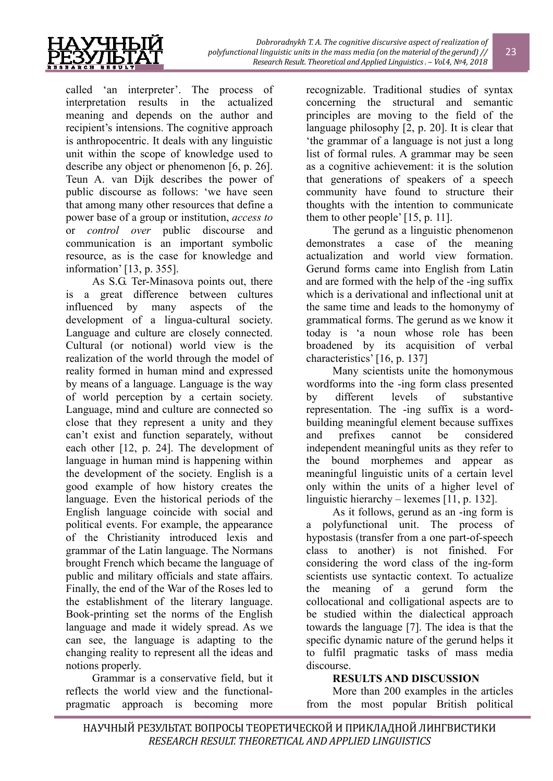

called 'an interpreter'. The process of interpretation results in the actualized meaning and depends on the author and recipient's intensions. The cognitive approach is anthropocentric. It deals with any linguistic unit within the scope of knowledge used to describe any object or phenomenon [6, p. 26]. Teun A. van Dijk describes the power of public discourse as follows: 'we have seen that among many other resources that define a power base of a group or institution, *access to* or *control over* public discourse and communication is an important symbolic resource, as is the case for knowledge and information' [13, p. 355].

As S.G. Ter-Minasova points out, there is a great difference between cultures influenced by many aspects of the development of a lingua-cultural society. Language and culture are closely connected. Cultural (or notional) world view is the realization of the world through the model of reality formed in human mind and expressed by means of a language. Language is the way of world perception by a certain society. Language, mind and culture are connected so close that they represent a unity and they can't exist and function separately, without each other [12, p. 24]. The development of language in human mind is happening within the development of the society. English is a good example of how history creates the language. Even the historical periods of the English language coincide with social and political events. For example, the appearance of the Christianity introduced lexis and grammar of the Latin language. The Normans brought French which became the language of public and military officials and state affairs. Finally, the end of the War of the Roses led to the establishment of the literary language. Book-printing set the norms of the English language and made it widely spread. As we can see, the language is adapting to the changing reality to represent all the ideas and notions properly.

Grammar is a conservative field, but it reflects the world view and the functionalpragmatic approach is becoming more

recognizable. Traditional studies of syntax concerning the structural and semantic principles are moving to the field of the language philosophy [2, p. 20]. It is clear that 'the grammar of a language is not just a long list of formal rules. A grammar may be seen as a cognitive achievement: it is the solution that generations of speakers of a speech community have found to structure their thoughts with the intention to communicate them to other people' [15, p. 11].

The gerund as a linguistic phenomenon demonstrates a case of the meaning actualization and world view formation. Gerund forms came into English from Latin and are formed with the help of the -ing suffix which is a derivational and inflectional unit at the same time and leads to the homonymy of grammatical forms. The gerund as we know it today is 'a noun whose role has been broadened by its acquisition of verbal characteristics' [16, p. 137]

Many scientists unite the homonymous wordforms into the -ing form class presented by different levels of substantive representation. The -ing suffix is a wordbuilding meaningful element because suffixes and prefixes cannot be considered independent meaningful units as they refer to the bound morphemes and appear as meaningful linguistic units of a certain level only within the units of a higher level of linguistic hierarchy – lexemes [11, p. 132].

As it follows, gerund as an -ing form is a polyfunctional unit. The process of hypostasis (transfer from a one part-of-speech class to another) is not finished. For considering the word class of the ing-form scientists use syntactic context. To actualize the meaning of a gerund form the collocational and colligational aspects are to be studied within the dialectical approach towards the language [7]. The idea is that the specific dynamic nature of the gerund helps it to fulfil pragmatic tasks of mass media discourse.

# **RESULTS AND DISCUSSION**

More than 200 examples in the articles from the most popular British political

23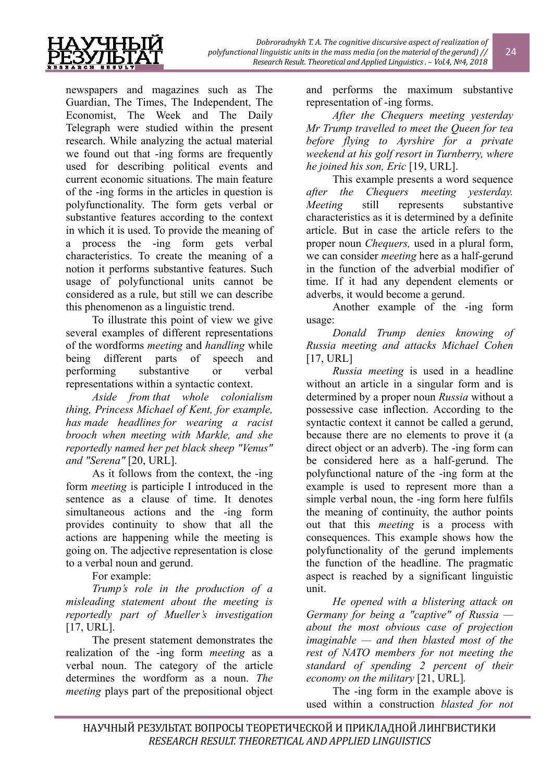

newspapers and magazines such as The Guardian, The Times, The Independent, The Economist, The Week and The Daily Telegraph were studied within the present research. While analyzing the actual material we found out that -ing forms are frequently used for describing political events and current economic situations. The main feature of the -ing forms in the articles in question is polyfunctionality. The form gets verbal or substantive features according to the context in which it is used. To provide the meaning of a process the -ing form gets verbal characteristics. To create the meaning of a notion it performs substantive features. Such usage of polyfunctional units cannot be considered as a rule, but still we can describe this phenomenon as a linguistic trend.

To illustrate this point of view we give several examples of different representations of the wordforms *meeting* and *handling* while being different parts of speech and performing substantive or verbal representations within a syntactic context.

*Aside from that whole colonialism thing, Princess Michael of Kent, for example, has made headlines for wearing a racist brooch when meeting with Markle, and she reportedly named her pet black sheep "Venus" and "Serena"* [20, URL].

As it follows from the context, the -ing form *meeting* is participle I introduced in the sentence as a clause of time. It denotes simultaneous actions and the -ing form provides continuity to show that all the actions are happening while the meeting is going on. The adjective representation is close to a verbal noun and gerund.

For example:

*Trump's role in the production of a misleading statement about the meeting is reportedly part of Mueller's investigation* [17, URL].

The present statement demonstrates the realization of the -ing form *meeting* as a verbal noun. The category of the article determines the wordform as a noun. *The meeting* plays part of the prepositional object and performs the maximum substantive representation of -ing forms.

*After the Chequers meeting yesterday Mr Trump travelled to meet the Queen for tea before flying to Ayrshire for a private weekend at his golf resort in Turnberry, where he joined his son, Eric* [19, URL].

This example presents a word sequence *after the Chequers meeting yesterday. Meeting* still represents substantive characteristics as it is determined by a definite article. But in case the article refers to the proper noun *Chequers,* used in a plural form, we can consider *meeting* here as a half-gerund in the function of the adverbial modifier of time. If it had any dependent elements or adverbs, it would become a gerund.

Another example of the -ing form usage:

*Donald Trump denies knowing of Russia meeting and attacks Michael Cohen* [17, URL]

*Russia meeting* is used in a headline without an article in a singular form and is determined by a proper noun *Russia* without a possessive case inflection. According to the syntactic context it cannot be called a gerund, because there are no elements to prove it (a direct object or an adverb). The -ing form can be considered here as a half-gerund. The polyfunctional nature of the -ing form at the example is used to represent more than a simple verbal noun, the -ing form here fulfils the meaning of continuity, the author points out that this *meeting* is a process with consequences. This example shows how the polyfunctionality of the gerund implements the function of the headline. The pragmatic aspect is reached by a significant linguistic unit.

*He opened with a blistering attack on Germany for being a "captive" of Russia about the most obvious case of projection imaginable — and then blasted most of the rest of NATO members for not meeting the standard of spending 2 percent of their economy on the military* [21, URL]*.*

The -ing form in the example above is used within a construction *blasted for not* 

24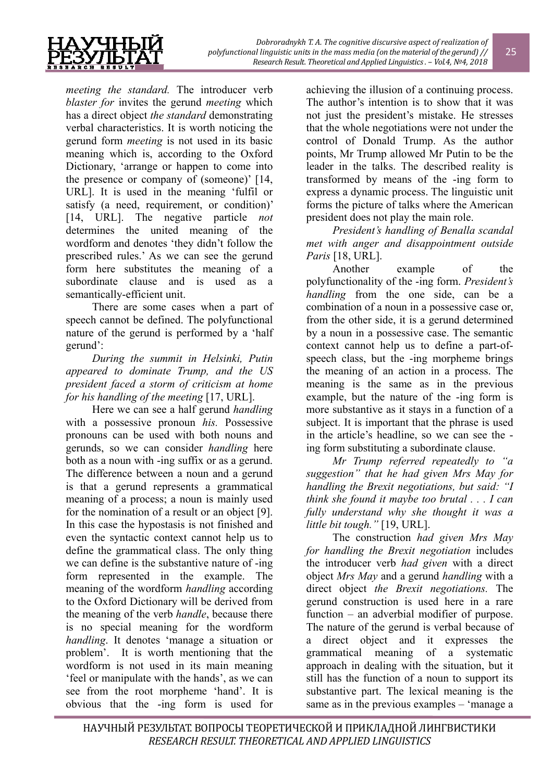

*meeting the standard.* The introducer verb *blaster for* invites the gerund *meeting* which has a direct object *the standard* demonstrating verbal characteristics. It is worth noticing the gerund form *meeting* is not used in its basic meaning which is, according to the Oxford Dictionary, 'arrange or happen to come into the presence or company of (someone)' [14, URL]. It is used in the meaning 'fulfil or satisfy (a need, requirement, or condition)' [14, URL]. The negative particle *not* determines the united meaning of the wordform and denotes 'they didn't follow the prescribed rules.' As we can see the gerund form here substitutes the meaning of a subordinate clause and is used as a semantically-efficient unit.

There are some cases when a part of speech cannot be defined. The polyfunctional nature of the gerund is performed by a 'half gerund':

*During the summit in Helsinki, Putin appeared to dominate Trump, and the US president faced a storm of criticism at home for his handling of the meeting* [17, URL].

Here we can see a half gerund *handling*  with a possessive pronoun *his.* Possessive pronouns can be used with both nouns and gerunds, so we can consider *handling* here both as a noun with -ing suffix or as a gerund. The difference between a noun and a gerund is that a gerund represents a grammatical meaning of a process; a noun is mainly used for the nomination of a result or an object [9]. In this case the hypostasis is not finished and even the syntactic context cannot help us to define the grammatical class. The only thing we can define is the substantive nature of -ing form represented in the example. The meaning of the wordform *handling* according to the Oxford Dictionary will be derived from the meaning of the verb *handle*, because there is no special meaning for the wordform *handling*. It denotes 'manage a situation or problem'. It is worth mentioning that the wordform is not used in its main meaning 'feel or manipulate with the hands', as we can see from the root morpheme 'hand'. It is obvious that the -ing form is used for achieving the illusion of a continuing process. The author's intention is to show that it was not just the president's mistake. He stresses that the whole negotiations were not under the control of Donald Trump. As the author points, Mr Trump allowed Mr Putin to be the leader in the talks. The described reality is transformed by means of the -ing form to express a dynamic process. The linguistic unit forms the picture of talks where the American president does not play the main role.

*President's handling of Benalla scandal met with anger and disappointment outside Paris* [18, URL].

Another example of the polyfunctionality of the -ing form. *President's handling* from the one side, can be a combination of a noun in a possessive case or, from the other side, it is a gerund determined by a noun in a possessive case. The semantic context cannot help us to define a part-ofspeech class, but the -ing morpheme brings the meaning of an action in a process. The meaning is the same as in the previous example, but the nature of the -ing form is more substantive as it stays in a function of a subject. It is important that the phrase is used in the article's headline, so we can see the ing form substituting a subordinate clause.

*Mr Trump referred repeatedly to "a suggestion" that he had given Mrs May for handling the Brexit negotiations, but said: "I think she found it maybe too brutal . . . I can fully understand why she thought it was a little bit tough."* [19, URL].

The construction *had given Mrs May for handling the Brexit negotiation* includes the introducer verb *had given* with a direct object *Mrs May* and a gerund *handling* with a direct object *the Brexit negotiations.* The gerund construction is used here in a rare function – an adverbial modifier of purpose. The nature of the gerund is verbal because of a direct object and it expresses the grammatical meaning of a systematic approach in dealing with the situation, but it still has the function of a noun to support its substantive part. The lexical meaning is the same as in the previous examples – 'manage a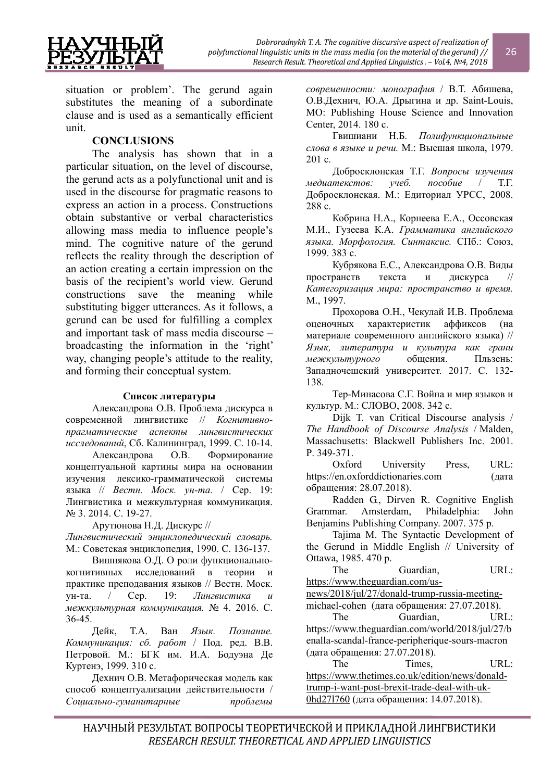

situation or problem'. The gerund again substitutes the meaning of a subordinate clause and is used as a semantically efficient unit.

## **CONCLUSIONS**

The analysis has shown that in a particular situation, on the level of discourse, the gerund acts as a polyfunctional unit and is used in the discourse for pragmatic reasons to express an action in a process. Constructions obtain substantive or verbal characteristics allowing mass media to influence people's mind. The cognitive nature of the gerund reflects the reality through the description of an action creating a certain impression on the basis of the recipient's world view. Gerund constructions save the meaning while substituting bigger utterances. As it follows, a gerund can be used for fulfilling a complex and important task of mass media discourse – broadcasting the information in the 'right' way, changing people's attitude to the reality, and forming their conceptual system.

### **Список литературы**

Александрова О.В. Проблема дискурса в современной лингвистике // *Когнитивнопрагматические аспекты лингвистических исследований*, Сб. Калининград, 1999. С. 10-14.

Александрова О.В. Формирование концептуальной картины мира на основании изучения лексико-грамматической системы языка // *Вестн. Моск. ун-та.* / Сер. 19: Лингвистика и межкультурная коммуникация. № 3. 2014. С. 19-27.

Арутюнова Н.Д. Дискурс //

*Лингвистический энциклопедический словарь.* М.: Советская энциклопедия, 1990. С. 136-137.

Вишнякова О.Д. О роли функциональнокогнитивных исследований в теории и практике преподавания языков // Вестн. Моск. ун-та. / Сер. 19: *Лингвистика и межкультурная коммуникация.* № 4. 2016. С. 36-45.

Дейк, Т.А. Ван *Язык. Познание. Коммуникация: сб. работ* / Под. ред. В.В. Петровой. М.: БГК им. И.А. Бодуэна Де Куртенэ, 1999. 310 с.

Дехнич О.В. Метафорическая модель как способ концептуализации действительности / *Социально-гуманитарные проблемы*

*современности: монография* / В.Т. Абишева, О.В.Дехнич, Ю.А. Дрыгина и др. Saint-Louis, MO: Publishing House Science and Innovation Center, 2014. 180 с.

Гвишиани Н.Б. *Полифункциональные слова в языке и речи.* М.: Высшая школа, 1979. 201 c.

Добросклонская Т.Г. *Вопросы изучения медиатекстов: учеб. пособие* / Т.Г. Добросклонская. М.: Едиториал УРСС, 2008. 288 с.

Кобрина Н.А., Корнеева Е.А., Оссовская М.И., Гузеева К.А. *Грамматика английского языка. Морфология. Синтаксис.* СПб.: Союз, 1999. 383 с.

Кубрякова Е.С., Александрова О.В. Виды пространств текста и дискурса // *Категоризация мира: пространство и время.*  М., 1997.

Прохорова О.Н., Чекулай И.В. Проблема оценочных характеристик аффиксов (на материале современного английского языка) // *Язык, литература и культура как грани межкультурного* общения. Пльзень: Западночешский университет. 2017. С. 132- 138.

Тер-Минасова С.Г. Война и мир языков и культур. М.: СЛОВО, 2008. 342 с.

Dijk T. van Critical Discourse analysis / *The Handbook of Discourse Analysis* / Malden, Massachusetts: Blackwell Publishers Inc. 2001. P. 349-371.

Oxford University Press, URL: https://en.oxforddictionaries.com (дата обращения: 28.07.2018).

Radden G., Dirven R. Cognitive English Grammar. Amsterdam, Philadelphia: John Benjamins Publishing Company. 2007. 375 p.

Tajima M. The Syntactic Development of the Gerund in Middle English // University of Ottawa, 1985. 470 p.

The Guardian, URL: https://www.theguardian.com/us-

news/2018/jul/27/donald-trump-russia-meeting-

michael-cohen (дата обращения: 27.07.2018).

The Guardian, URL: https://www.theguardian.com/world/2018/jul/27/b enalla-scandal-france-peripherique-sours-macron (дата обращения: 27.07.2018).

The Times. URL: https://www.thetimes.co.uk/edition/news/donaldtrump-i-want-post-brexit-trade-deal-with-uk-0hd27l760 (дата обращения: 14.07.2018).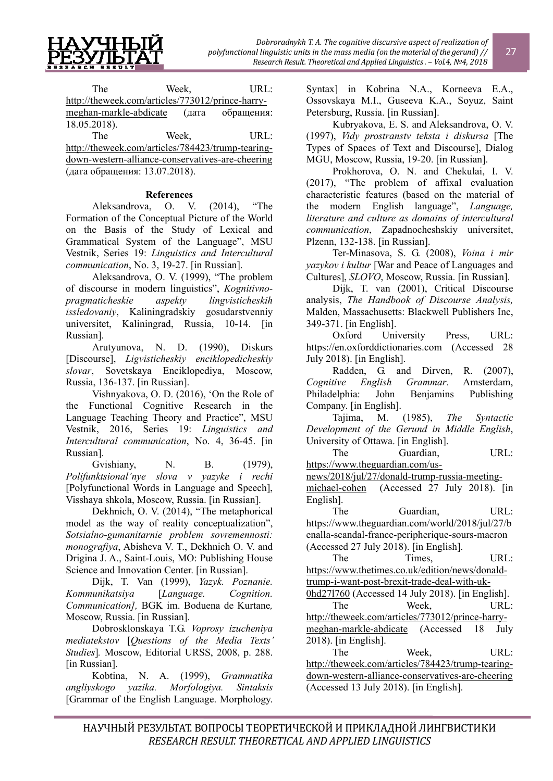

The Week, URL: http://theweek.com/articles/773012/prince-harrymeghan-markle-abdicate (дата обращения: 18.05.2018).

The Week, URL: http://theweek.com/articles/784423/trump-tearingdown-western-alliance-conservatives-are-cheering (дата обращения: 13.07.2018).

### **References**

Aleksandrova, O. V. (2014), "The Formation of the Conceptual Picture of the World on the Basis of the Study of Lexical and Grammatical System of the Language", MSU Vestnik, Series 19: *Linguistics and Intercultural communication*, No. 3, 19-27. [in Russian].

Aleksandrova, O. V. (1999), "The problem of discourse in modern linguistics", *Kognitivnopragmaticheskie aspekty lingvisticheskih issledovaniy*, Kaliningradskiy gosudarstvenniy universitet, Kaliningrad, Russia, 10-14. [in Russian].

Arutyunova, N. D. (1990), Diskurs [Discourse], *Ligvisticheskiy enciklopedicheskiy slovar*, Sovetskaya Enciklopediya, Moscow, Russia, 136-137. [in Russian].

Vishnyakova, O. D. (2016), 'On the Role of the Functional Cognitive Research in the Language Teaching Theory and Practice", MSU Vestnik, 2016, Series 19: *Linguistics and Intercultural communication*, No. 4, 36-45. [in Russian].

Gvishiany, N. B. (1979), *Polifunktsional'nye slova v yazyke i rechi*  [Polyfunctional Words in Language and Speech], Visshaya shkola, Moscow, Russia. [in Russian].

Dekhnich, O. V. (2014), "The metaphorical model as the way of reality conceptualization", *Sotsialno-gumanitarnie problem sovremennosti: monografiya*, Abisheva V. T., Dekhnich O. V. and Drigina J. A., Saint-Louis, MO: Publishing House Science and Innovation Center. [in Russian].

Dijk, T. Van (1999), *Yazyk. Poznanie. Kommunikatsiya* [*Language. Cognition. Communication],* BGK im. Boduena de Kurtane*,*  Moscow, Russia. [in Russian].

Dobrosklonskaya T.G. *Voprosy izucheniya mediatekstov* [*Questions of the Media Texts' Studies*]*.* Moscow, Editorial URSS, 2008, p. 288. [in Russian].

Kobtina, N. A. (1999), *Grammatika angliyskogo yazika. Morfologiya. Sintaksis*  [Grammar of the English Language. Morphology.

Syntax] in Kobrina N.A., Korneeva E.A., Ossovskaya M.I., Guseeva K.A., Soyuz, Saint Petersburg, Russia. [in Russian].

Kubryakova, E. S. and Aleksandrova, O. V. (1997), *Vidy prostranstv teksta i diskursa* [The Types of Spaces of Text and Discourse], Dialog MGU, Moscow, Russia, 19-20. [in Russian].

Prokhorova, O. N. and Chekulai, I. V. (2017), "The problem of affixal evaluation characteristic features (based on the material of the modern English language", *Language, literature and culture as domains of intercultural communication*, Zapadnocheshskiy universitet, Plzenn, 132-138. [in Russian].

Ter-Minasova, S. G. (2008), *Voina i mir yazykov i kultur* [War and Peace of Languages and Cultures], *SLOVO*, Moscow, Russia. [in Russian].

Dijk, T. van (2001), Critical Discourse analysis, *The Handbook of Discourse Analysis,*  Malden, Massachusetts: Blackwell Publishers Inc, 349-371. [in English].

Oxford University Press, URL: https://en.oxforddictionaries.com (Accessed 28 July 2018). [in English].

Radden, G. and Dirven, R. (2007), *Cognitive English Grammar*. Amsterdam, Philadelphia: John Benjamins Publishing Company. [in English].

Tajima, M. (1985), *The Syntactic Development of the Gerund in Middle English*, University of Ottawa. [in English].

The Guardian, URL:

https://www.theguardian.com/us-

news/2018/jul/27/donald-trump-russia-meeting-

michael-cohen (Accessed 27 July 2018). [in English].

The Guardian, URL: https://www.theguardian.com/world/2018/jul/27/b enalla-scandal-france-peripherique-sours-macron (Accessed 27 July 2018). [in English].

The Times, URL: https://www.thetimes.co.uk/edition/news/donaldtrump-i-want-post-brexit-trade-deal-with-uk-

0hd27l760 (Accessed 14 July 2018). [in English]. The Week, URL: http://theweek.com/articles/773012/prince-harrymeghan-markle-abdicate (Accessed 18 July 2018). [in English].

The Week, URL: http://theweek.com/articles/784423/trump-tearingdown-western-alliance-conservatives-are-cheering (Accessed 13 July 2018). [in English].